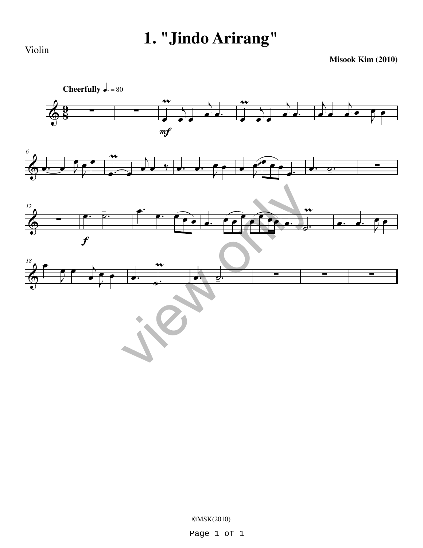## **1. "Jindo Arirang"**

Violin

**Misook Kim (2010)**



©MSK(2010)

Page 1 of 1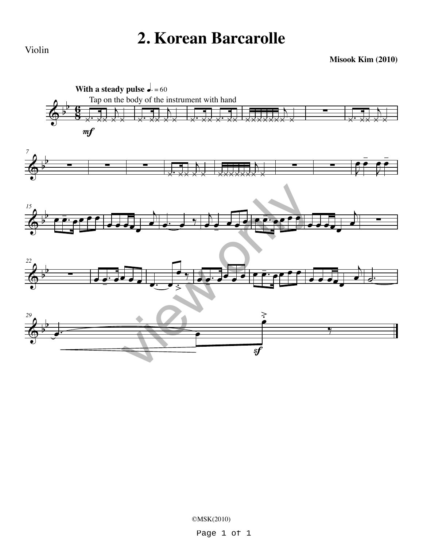## **2. Korean Barcarolle**

Violin

**Misook Kim (2010)**



©MSK(2010)

Page 1 of 1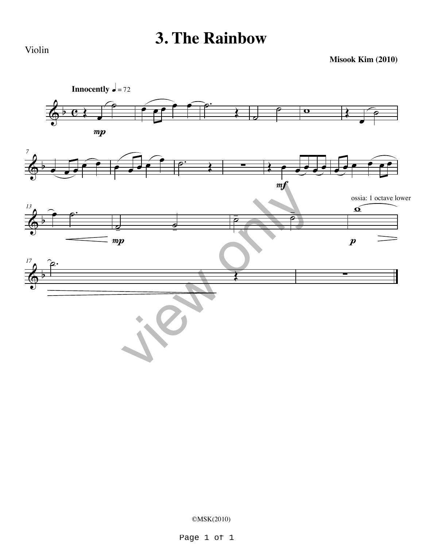## **3. The Rainbow**

Violin

**Misook Kim (2010)**



©MSK(2010)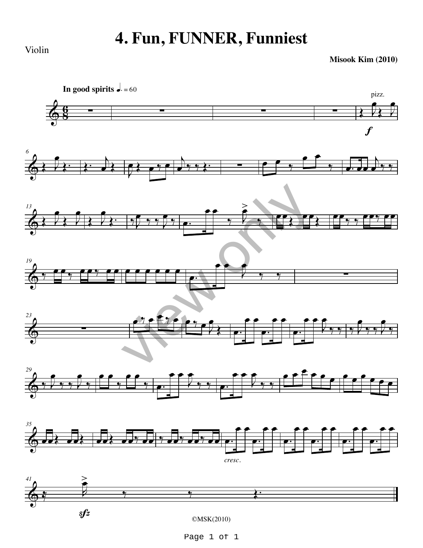## **4. Fun, FUNNER, Funniest**

Violin

**Misook Kim (2010)**



Page 1 of 1